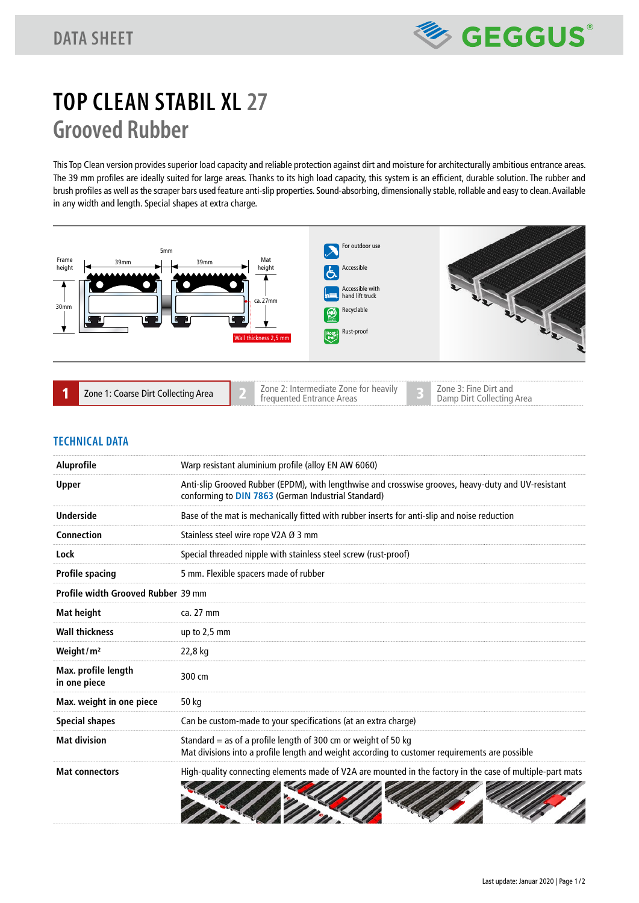

# **TOP CLEAN STABIL XL 27 Grooved Rubber**

This Top Clean version provides superior load capacity and reliable protection against dirt and moisture for architecturally ambitious entrance areas. The 39 mm profiles are ideally suited for large areas. Thanks to its high load capacity, this system is an efficient, durable solution. The rubber and brush profiles as well as the scraper bars used feature anti-slip properties. Sound-absorbing, dimensionally stable, rollable and easy to clean. Available in any width and length. Special shapes at extra charge.



| Zone 1: Coarse Dirt Collecting Area | Zone 2: Intermediate Zone for heavily<br>frequented Entrance Areas | Zone 3: Fine Dirt and<br>Damp Dirt Collecting Area |
|-------------------------------------|--------------------------------------------------------------------|----------------------------------------------------|
|-------------------------------------|--------------------------------------------------------------------|----------------------------------------------------|

### **TECHNICAL DATA**

| <b>Aluprofile</b>                   | Warp resistant aluminium profile (alloy EN AW 6060)                                                                                                                |
|-------------------------------------|--------------------------------------------------------------------------------------------------------------------------------------------------------------------|
| <b>Upper</b>                        | Anti-slip Grooved Rubber (EPDM), with lengthwise and crosswise grooves, heavy-duty and UV-resistant<br>conforming to DIN 7863 (German Industrial Standard)         |
| <b>Underside</b>                    | Base of the mat is mechanically fitted with rubber inserts for anti-slip and noise reduction                                                                       |
| Connection                          | Stainless steel wire rope V2A Ø 3 mm                                                                                                                               |
| Lock                                | Special threaded nipple with stainless steel screw (rust-proof)                                                                                                    |
| <b>Profile spacing</b>              | 5 mm. Flexible spacers made of rubber                                                                                                                              |
| Profile width Grooved Rubber 39 mm  |                                                                                                                                                                    |
| <b>Mat height</b>                   | ca. 27 mm                                                                                                                                                          |
| <b>Wall thickness</b>               | up to $2,5$ mm                                                                                                                                                     |
| Weight/ $m2$                        | 22,8 kg                                                                                                                                                            |
| Max. profile length<br>in one piece | 300 cm                                                                                                                                                             |
| Max. weight in one piece            | 50 kg                                                                                                                                                              |
| Special shapes                      | Can be custom-made to your specifications (at an extra charge)                                                                                                     |
| <b>Mat division</b>                 | Standard $=$ as of a profile length of 300 cm or weight of 50 kg<br>Mat divisions into a profile length and weight according to customer requirements are possible |
| <b>Mat connectors</b>               | High-quality connecting elements made of V2A are mounted in the factory in the case of multiple-part mats                                                          |